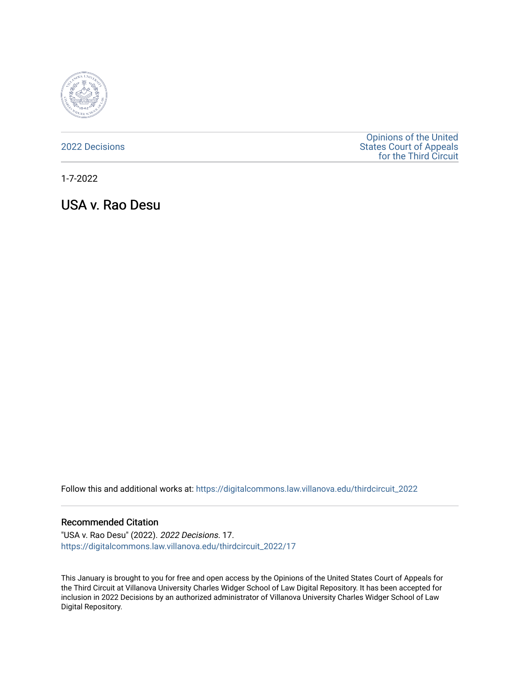

[2022 Decisions](https://digitalcommons.law.villanova.edu/thirdcircuit_2022)

[Opinions of the United](https://digitalcommons.law.villanova.edu/thirdcircuit)  [States Court of Appeals](https://digitalcommons.law.villanova.edu/thirdcircuit)  [for the Third Circuit](https://digitalcommons.law.villanova.edu/thirdcircuit) 

1-7-2022

USA v. Rao Desu

Follow this and additional works at: [https://digitalcommons.law.villanova.edu/thirdcircuit\\_2022](https://digitalcommons.law.villanova.edu/thirdcircuit_2022?utm_source=digitalcommons.law.villanova.edu%2Fthirdcircuit_2022%2F17&utm_medium=PDF&utm_campaign=PDFCoverPages) 

#### Recommended Citation

"USA v. Rao Desu" (2022). 2022 Decisions. 17. [https://digitalcommons.law.villanova.edu/thirdcircuit\\_2022/17](https://digitalcommons.law.villanova.edu/thirdcircuit_2022/17?utm_source=digitalcommons.law.villanova.edu%2Fthirdcircuit_2022%2F17&utm_medium=PDF&utm_campaign=PDFCoverPages)

This January is brought to you for free and open access by the Opinions of the United States Court of Appeals for the Third Circuit at Villanova University Charles Widger School of Law Digital Repository. It has been accepted for inclusion in 2022 Decisions by an authorized administrator of Villanova University Charles Widger School of Law Digital Repository.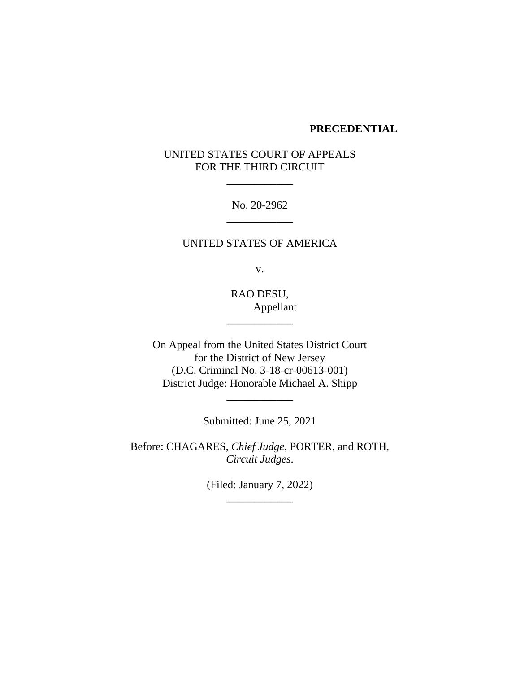#### **PRECEDENTIAL**

# UNITED STATES COURT OF APPEALS FOR THE THIRD CIRCUIT

\_\_\_\_\_\_\_\_\_\_\_\_

No. 20-2962 \_\_\_\_\_\_\_\_\_\_\_\_

## UNITED STATES OF AMERICA

v.

RAO DESU, Appellant

\_\_\_\_\_\_\_\_\_\_\_\_

On Appeal from the United States District Court for the District of New Jersey (D.C. Criminal No. 3-18-cr-00613-001) District Judge: Honorable Michael A. Shipp

Submitted: June 25, 2021

\_\_\_\_\_\_\_\_\_\_\_\_

Before: CHAGARES, *Chief Judge,* PORTER, and ROTH, *Circuit Judges*.

> (Filed: January 7, 2022) \_\_\_\_\_\_\_\_\_\_\_\_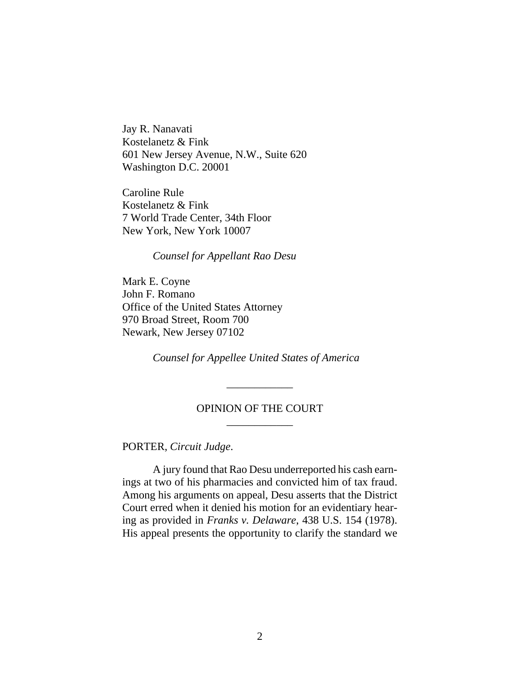Jay R. Nanavati Kostelanetz & Fink 601 New Jersey Avenue, N.W., Suite 620 Washington D.C. 20001

Caroline Rule Kostelanetz & Fink 7 World Trade Center, 34th Floor New York, New York 10007

*Counsel for Appellant Rao Desu*

Mark E. Coyne John F. Romano Office of the United States Attorney 970 Broad Street, Room 700 Newark, New Jersey 07102

*Counsel for Appellee United States of America*

# OPINION OF THE COURT \_\_\_\_\_\_\_\_\_\_\_\_

\_\_\_\_\_\_\_\_\_\_\_\_

PORTER, *Circuit Judge*.

A jury found that Rao Desu underreported his cash earnings at two of his pharmacies and convicted him of tax fraud. Among his arguments on appeal, Desu asserts that the District Court erred when it denied his motion for an evidentiary hearing as provided in *Franks v. Delaware*, 438 U.S. 154 (1978). His appeal presents the opportunity to clarify the standard we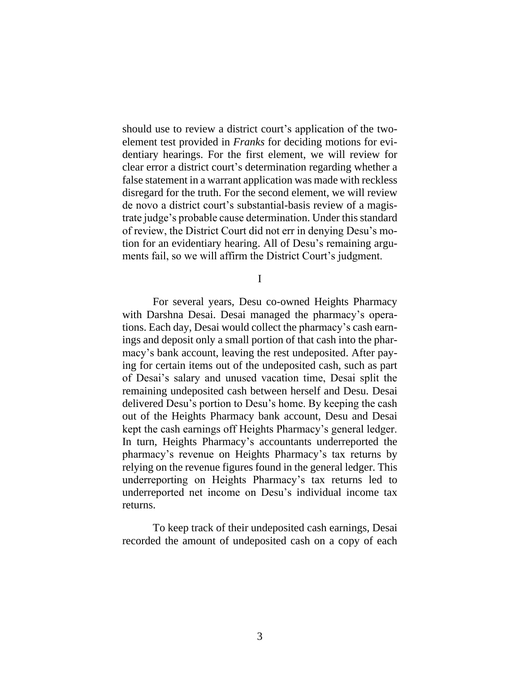should use to review a district court's application of the twoelement test provided in *Franks* for deciding motions for evidentiary hearings. For the first element, we will review for clear error a district court's determination regarding whether a false statement in a warrant application was made with reckless disregard for the truth. For the second element, we will review de novo a district court's substantial-basis review of a magistrate judge's probable cause determination. Under this standard of review, the District Court did not err in denying Desu's motion for an evidentiary hearing. All of Desu's remaining arguments fail, so we will affirm the District Court's judgment.

I

For several years, Desu co-owned Heights Pharmacy with Darshna Desai. Desai managed the pharmacy's operations. Each day, Desai would collect the pharmacy's cash earnings and deposit only a small portion of that cash into the pharmacy's bank account, leaving the rest undeposited. After paying for certain items out of the undeposited cash, such as part of Desai's salary and unused vacation time, Desai split the remaining undeposited cash between herself and Desu. Desai delivered Desu's portion to Desu's home. By keeping the cash out of the Heights Pharmacy bank account, Desu and Desai kept the cash earnings off Heights Pharmacy's general ledger. In turn, Heights Pharmacy's accountants underreported the pharmacy's revenue on Heights Pharmacy's tax returns by relying on the revenue figures found in the general ledger. This underreporting on Heights Pharmacy's tax returns led to underreported net income on Desu's individual income tax returns.

To keep track of their undeposited cash earnings, Desai recorded the amount of undeposited cash on a copy of each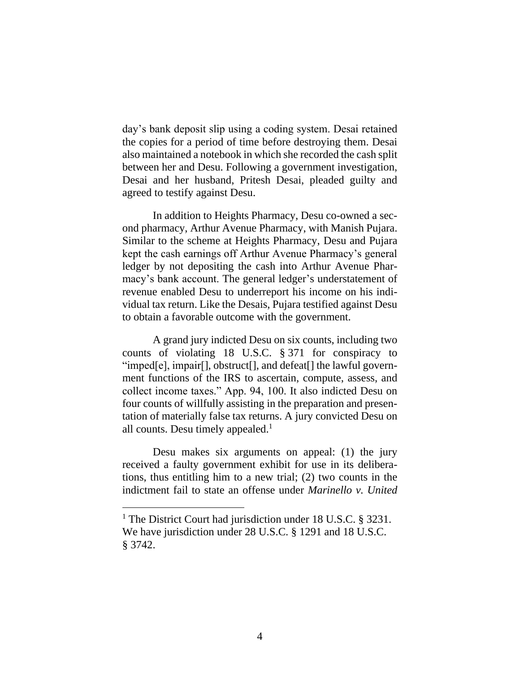day's bank deposit slip using a coding system. Desai retained the copies for a period of time before destroying them. Desai also maintained a notebook in which she recorded the cash split between her and Desu. Following a government investigation, Desai and her husband, Pritesh Desai, pleaded guilty and agreed to testify against Desu.

In addition to Heights Pharmacy, Desu co-owned a second pharmacy, Arthur Avenue Pharmacy, with Manish Pujara. Similar to the scheme at Heights Pharmacy, Desu and Pujara kept the cash earnings off Arthur Avenue Pharmacy's general ledger by not depositing the cash into Arthur Avenue Pharmacy's bank account. The general ledger's understatement of revenue enabled Desu to underreport his income on his individual tax return. Like the Desais, Pujara testified against Desu to obtain a favorable outcome with the government.

A grand jury indicted Desu on six counts, including two counts of violating 18 U.S.C. § 371 for conspiracy to "imped[e], impair[], obstruct[], and defeat[] the lawful government functions of the IRS to ascertain, compute, assess, and collect income taxes." App. 94, 100. It also indicted Desu on four counts of willfully assisting in the preparation and presentation of materially false tax returns. A jury convicted Desu on all counts. Desu timely appealed.<sup>1</sup>

Desu makes six arguments on appeal: (1) the jury received a faulty government exhibit for use in its deliberations, thus entitling him to a new trial; (2) two counts in the indictment fail to state an offense under *Marinello v. United* 

<sup>&</sup>lt;sup>1</sup> The District Court had jurisdiction under 18 U.S.C. § 3231. We have jurisdiction under 28 U.S.C. § 1291 and 18 U.S.C. § 3742.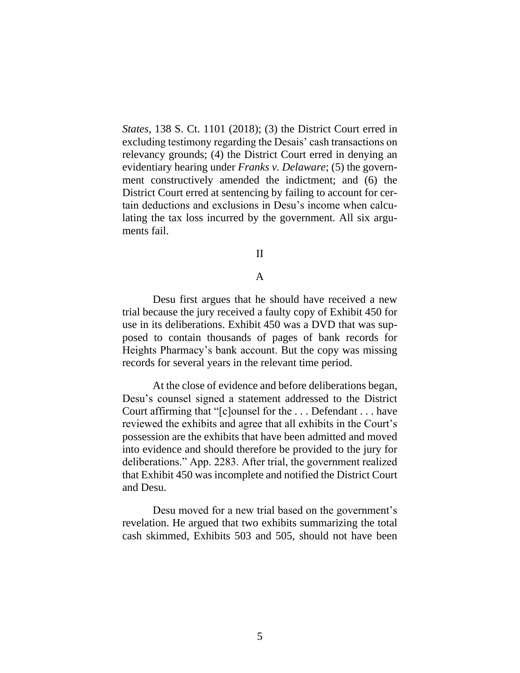*States*, 138 S. Ct. 1101 (2018); (3) the District Court erred in excluding testimony regarding the Desais' cash transactions on relevancy grounds; (4) the District Court erred in denying an evidentiary hearing under *Franks v. Delaware*; (5) the government constructively amended the indictment; and (6) the District Court erred at sentencing by failing to account for certain deductions and exclusions in Desu's income when calculating the tax loss incurred by the government. All six arguments fail.

#### II

### A

Desu first argues that he should have received a new trial because the jury received a faulty copy of Exhibit 450 for use in its deliberations. Exhibit 450 was a DVD that was supposed to contain thousands of pages of bank records for Heights Pharmacy's bank account. But the copy was missing records for several years in the relevant time period.

At the close of evidence and before deliberations began, Desu's counsel signed a statement addressed to the District Court affirming that "[c]ounsel for the . . . Defendant . . . have reviewed the exhibits and agree that all exhibits in the Court's possession are the exhibits that have been admitted and moved into evidence and should therefore be provided to the jury for deliberations." App. 2283. After trial, the government realized that Exhibit 450 was incomplete and notified the District Court and Desu.

Desu moved for a new trial based on the government's revelation. He argued that two exhibits summarizing the total cash skimmed, Exhibits 503 and 505, should not have been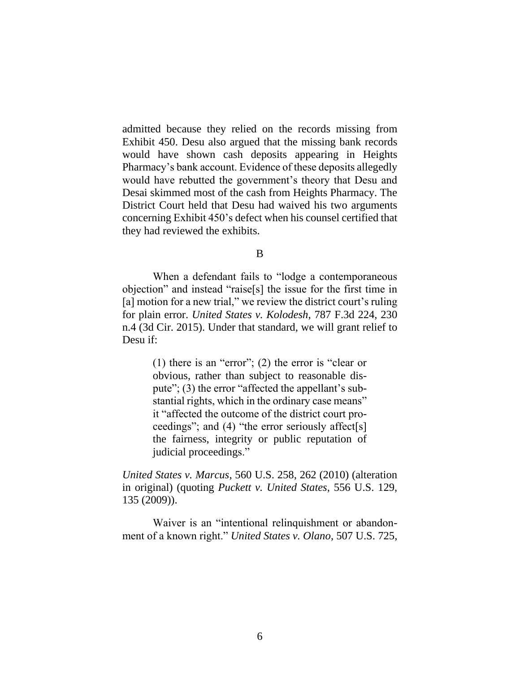admitted because they relied on the records missing from Exhibit 450. Desu also argued that the missing bank records would have shown cash deposits appearing in Heights Pharmacy's bank account. Evidence of these deposits allegedly would have rebutted the government's theory that Desu and Desai skimmed most of the cash from Heights Pharmacy. The District Court held that Desu had waived his two arguments concerning Exhibit 450's defect when his counsel certified that they had reviewed the exhibits.

B

When a defendant fails to "lodge a contemporaneous objection" and instead "raise[s] the issue for the first time in [a] motion for a new trial," we review the district court's ruling for plain error. *United States v. Kolodesh*, 787 F.3d 224, 230 n.4 (3d Cir. 2015). Under that standard, we will grant relief to Desu if:

> (1) there is an "error"; (2) the error is "clear or obvious, rather than subject to reasonable dispute"; (3) the error "affected the appellant's substantial rights, which in the ordinary case means" it "affected the outcome of the district court proceedings"; and (4) "the error seriously affect[s] the fairness, integrity or public reputation of judicial proceedings."

*United States v. Marcus*, 560 U.S. 258, 262 (2010) (alteration in original) (quoting *Puckett v. United States*, 556 U.S. 129, 135 (2009)).

Waiver is an "intentional relinquishment or abandonment of a known right." *United States v. Olano*, 507 U.S. 725,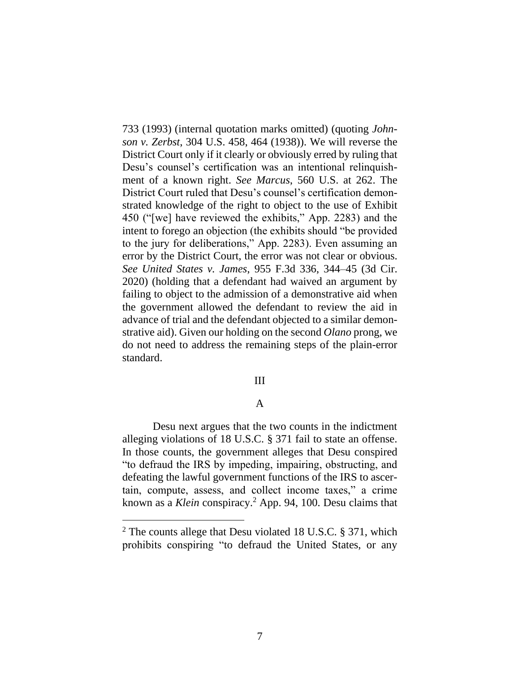733 (1993) (internal quotation marks omitted) (quoting *Johnson v. Zerbst*, 304 U.S. 458, 464 (1938)). We will reverse the District Court only if it clearly or obviously erred by ruling that Desu's counsel's certification was an intentional relinquishment of a known right. *See Marcus*, 560 U.S. at 262. The District Court ruled that Desu's counsel's certification demonstrated knowledge of the right to object to the use of Exhibit 450 ("[we] have reviewed the exhibits," App. 2283) and the intent to forego an objection (the exhibits should "be provided to the jury for deliberations," App. 2283). Even assuming an error by the District Court, the error was not clear or obvious. *See United States v. James*, 955 F.3d 336, 344–45 (3d Cir. 2020) (holding that a defendant had waived an argument by failing to object to the admission of a demonstrative aid when the government allowed the defendant to review the aid in advance of trial and the defendant objected to a similar demonstrative aid). Given our holding on the second *Olano* prong, we do not need to address the remaining steps of the plain-error standard.

#### III

### A

Desu next argues that the two counts in the indictment alleging violations of 18 U.S.C. § 371 fail to state an offense. In those counts, the government alleges that Desu conspired "to defraud the IRS by impeding, impairing, obstructing, and defeating the lawful government functions of the IRS to ascertain, compute, assess, and collect income taxes," a crime known as a *Klein* conspiracy.<sup>2</sup> App. 94, 100. Desu claims that

<sup>2</sup> The counts allege that Desu violated 18 U.S.C. § 371, which prohibits conspiring "to defraud the United States, or any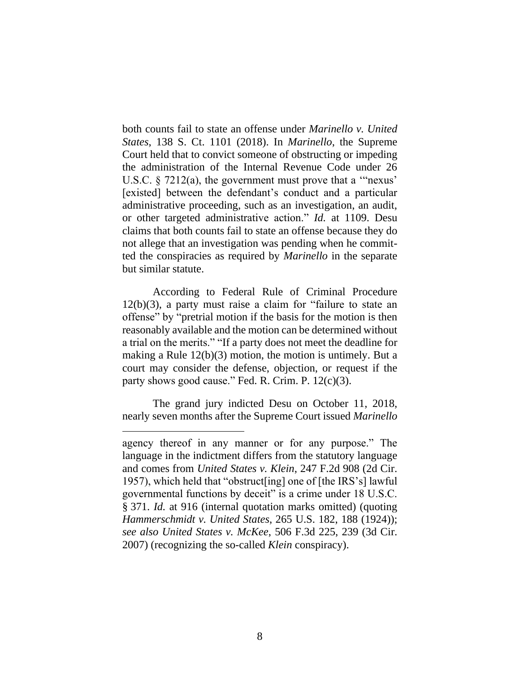both counts fail to state an offense under *Marinello v. United States*, 138 S. Ct. 1101 (2018). In *Marinello*, the Supreme Court held that to convict someone of obstructing or impeding the administration of the Internal Revenue Code under 26 U.S.C. § 7212(a), the government must prove that a '"nexus' [existed] between the defendant's conduct and a particular administrative proceeding, such as an investigation, an audit, or other targeted administrative action." *Id.* at 1109. Desu claims that both counts fail to state an offense because they do not allege that an investigation was pending when he committed the conspiracies as required by *Marinello* in the separate but similar statute.

According to Federal Rule of Criminal Procedure 12(b)(3), a party must raise a claim for "failure to state an offense" by "pretrial motion if the basis for the motion is then reasonably available and the motion can be determined without a trial on the merits." "If a party does not meet the deadline for making a Rule 12(b)(3) motion, the motion is untimely. But a court may consider the defense, objection, or request if the party shows good cause." Fed. R. Crim. P. 12(c)(3).

The grand jury indicted Desu on October 11, 2018, nearly seven months after the Supreme Court issued *Marinello*

agency thereof in any manner or for any purpose." The language in the indictment differs from the statutory language and comes from *United States v. Klein*, 247 F.2d 908 (2d Cir. 1957), which held that "obstruct[ing] one of [the IRS's] lawful governmental functions by deceit" is a crime under 18 U.S.C. § 371. *Id.* at 916 (internal quotation marks omitted) (quoting *Hammerschmidt v. United States*, 265 U.S. 182, 188 (1924)); *see also United States v. McKee*, 506 F.3d 225, 239 (3d Cir. 2007) (recognizing the so-called *Klein* conspiracy).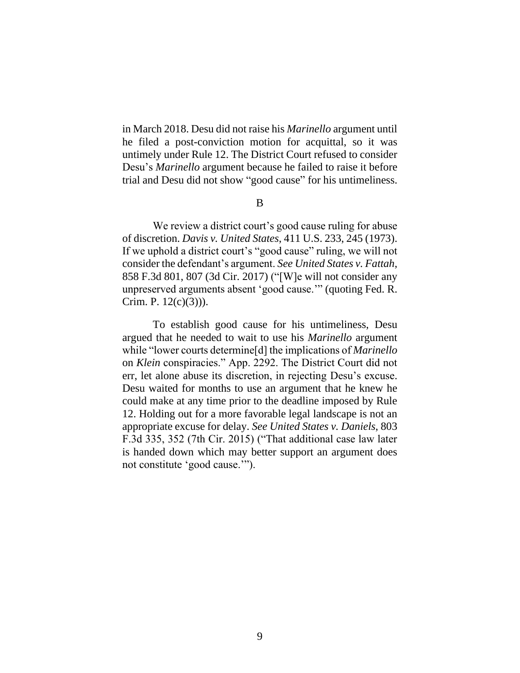in March 2018. Desu did not raise his *Marinello* argument until he filed a post-conviction motion for acquittal, so it was untimely under Rule 12. The District Court refused to consider Desu's *Marinello* argument because he failed to raise it before trial and Desu did not show "good cause" for his untimeliness.

B

We review a district court's good cause ruling for abuse of discretion. *Davis v. United States*, 411 U.S. 233, 245 (1973). If we uphold a district court's "good cause" ruling, we will not consider the defendant's argument. *See United States v. Fattah*, 858 F.3d 801, 807 (3d Cir. 2017) ("[W]e will not consider any unpreserved arguments absent 'good cause.'" (quoting Fed. R. Crim. P.  $12(c)(3)$ ).

To establish good cause for his untimeliness, Desu argued that he needed to wait to use his *Marinello* argument while "lower courts determine[d] the implications of *Marinello* on *Klein* conspiracies." App. 2292. The District Court did not err, let alone abuse its discretion, in rejecting Desu's excuse. Desu waited for months to use an argument that he knew he could make at any time prior to the deadline imposed by Rule 12. Holding out for a more favorable legal landscape is not an appropriate excuse for delay. *See United States v. Daniels*, 803 F.3d 335, 352 (7th Cir. 2015) ("That additional case law later is handed down which may better support an argument does not constitute 'good cause.'").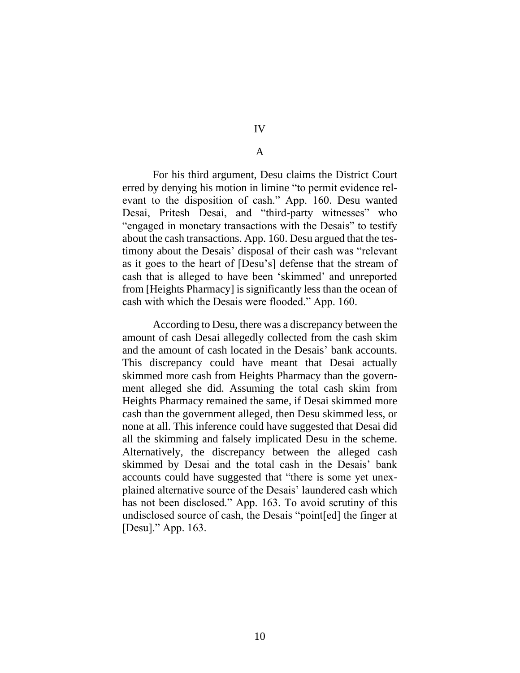IV

### A

For his third argument, Desu claims the District Court erred by denying his motion in limine "to permit evidence relevant to the disposition of cash." App. 160. Desu wanted Desai, Pritesh Desai, and "third-party witnesses" who "engaged in monetary transactions with the Desais" to testify about the cash transactions. App. 160. Desu argued that the testimony about the Desais' disposal of their cash was "relevant as it goes to the heart of [Desu's] defense that the stream of cash that is alleged to have been 'skimmed' and unreported from [Heights Pharmacy] is significantly less than the ocean of cash with which the Desais were flooded." App. 160.

According to Desu, there was a discrepancy between the amount of cash Desai allegedly collected from the cash skim and the amount of cash located in the Desais' bank accounts. This discrepancy could have meant that Desai actually skimmed more cash from Heights Pharmacy than the government alleged she did. Assuming the total cash skim from Heights Pharmacy remained the same, if Desai skimmed more cash than the government alleged, then Desu skimmed less, or none at all. This inference could have suggested that Desai did all the skimming and falsely implicated Desu in the scheme. Alternatively, the discrepancy between the alleged cash skimmed by Desai and the total cash in the Desais' bank accounts could have suggested that "there is some yet unexplained alternative source of the Desais' laundered cash which has not been disclosed." App. 163. To avoid scrutiny of this undisclosed source of cash, the Desais "point[ed] the finger at [Desu]." App. 163.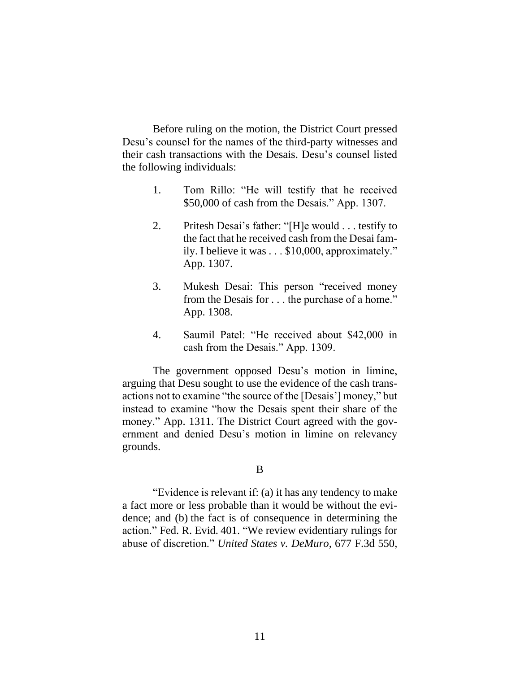Before ruling on the motion, the District Court pressed Desu's counsel for the names of the third-party witnesses and their cash transactions with the Desais. Desu's counsel listed the following individuals:

- 1. Tom Rillo: "He will testify that he received \$50,000 of cash from the Desais." App. 1307.
- 2. Pritesh Desai's father: "[H]e would . . . testify to the fact that he received cash from the Desai family. I believe it was . . . \$10,000, approximately." App. 1307.
- 3. Mukesh Desai: This person "received money from the Desais for . . . the purchase of a home." App. 1308.
- 4. Saumil Patel: "He received about \$42,000 in cash from the Desais." App. 1309.

The government opposed Desu's motion in limine, arguing that Desu sought to use the evidence of the cash transactions not to examine "the source of the [Desais'] money," but instead to examine "how the Desais spent their share of the money." App. 1311. The District Court agreed with the government and denied Desu's motion in limine on relevancy grounds.

#### B

"Evidence is relevant if: (a) it has any tendency to make a fact more or less probable than it would be without the evidence; and (b) the fact is of consequence in determining the action." Fed. R. Evid. 401. "We review evidentiary rulings for abuse of discretion." *United States v. DeMuro*, 677 F.3d 550,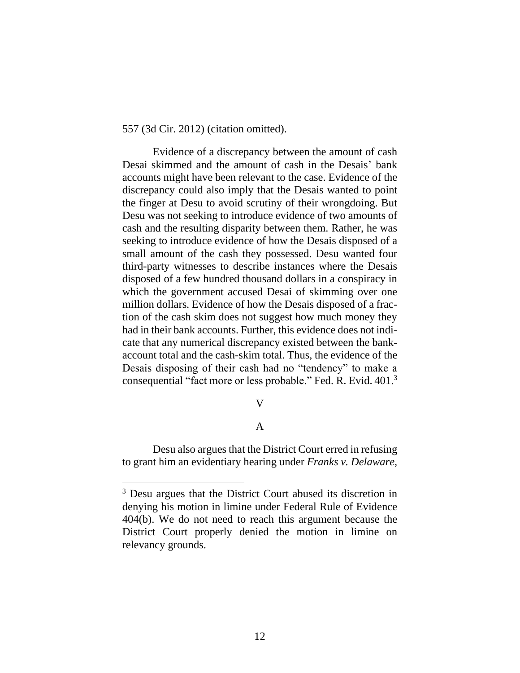557 (3d Cir. 2012) (citation omitted).

Evidence of a discrepancy between the amount of cash Desai skimmed and the amount of cash in the Desais' bank accounts might have been relevant to the case. Evidence of the discrepancy could also imply that the Desais wanted to point the finger at Desu to avoid scrutiny of their wrongdoing. But Desu was not seeking to introduce evidence of two amounts of cash and the resulting disparity between them. Rather, he was seeking to introduce evidence of how the Desais disposed of a small amount of the cash they possessed. Desu wanted four third-party witnesses to describe instances where the Desais disposed of a few hundred thousand dollars in a conspiracy in which the government accused Desai of skimming over one million dollars. Evidence of how the Desais disposed of a fraction of the cash skim does not suggest how much money they had in their bank accounts. Further, this evidence does not indicate that any numerical discrepancy existed between the bankaccount total and the cash-skim total. Thus, the evidence of the Desais disposing of their cash had no "tendency" to make a consequential "fact more or less probable." Fed. R. Evid. 401. 3

### V

# A

Desu also argues that the District Court erred in refusing to grant him an evidentiary hearing under *Franks v. Delaware*,

<sup>&</sup>lt;sup>3</sup> Desu argues that the District Court abused its discretion in denying his motion in limine under Federal Rule of Evidence 404(b). We do not need to reach this argument because the District Court properly denied the motion in limine on relevancy grounds.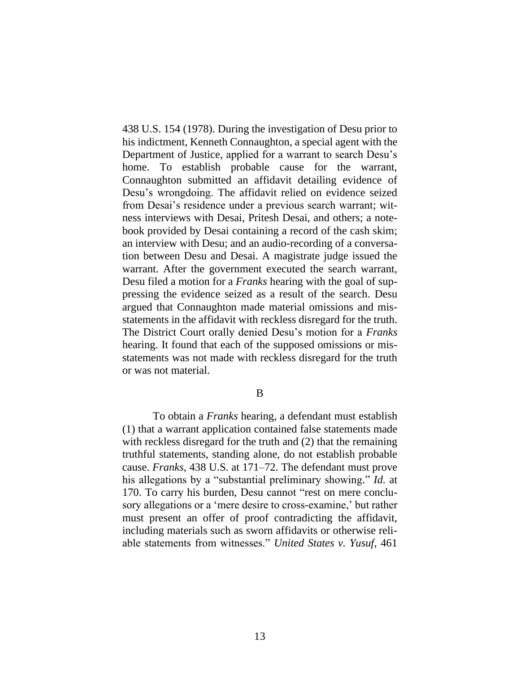438 U.S. 154 (1978). During the investigation of Desu prior to his indictment, Kenneth Connaughton, a special agent with the Department of Justice, applied for a warrant to search Desu's home. To establish probable cause for the warrant, Connaughton submitted an affidavit detailing evidence of Desu's wrongdoing. The affidavit relied on evidence seized from Desai's residence under a previous search warrant; witness interviews with Desai, Pritesh Desai, and others; a notebook provided by Desai containing a record of the cash skim; an interview with Desu; and an audio-recording of a conversation between Desu and Desai. A magistrate judge issued the warrant. After the government executed the search warrant, Desu filed a motion for a *Franks* hearing with the goal of suppressing the evidence seized as a result of the search. Desu argued that Connaughton made material omissions and misstatements in the affidavit with reckless disregard for the truth. The District Court orally denied Desu's motion for a *Franks* hearing. It found that each of the supposed omissions or misstatements was not made with reckless disregard for the truth or was not material.

B

To obtain a *Franks* hearing, a defendant must establish (1) that a warrant application contained false statements made with reckless disregard for the truth and (2) that the remaining truthful statements, standing alone, do not establish probable cause. *Franks*, 438 U.S. at 171–72. The defendant must prove his allegations by a "substantial preliminary showing." *Id.* at 170. To carry his burden, Desu cannot "rest on mere conclusory allegations or a 'mere desire to cross-examine,' but rather must present an offer of proof contradicting the affidavit, including materials such as sworn affidavits or otherwise reliable statements from witnesses." *United States v. Yusuf*, 461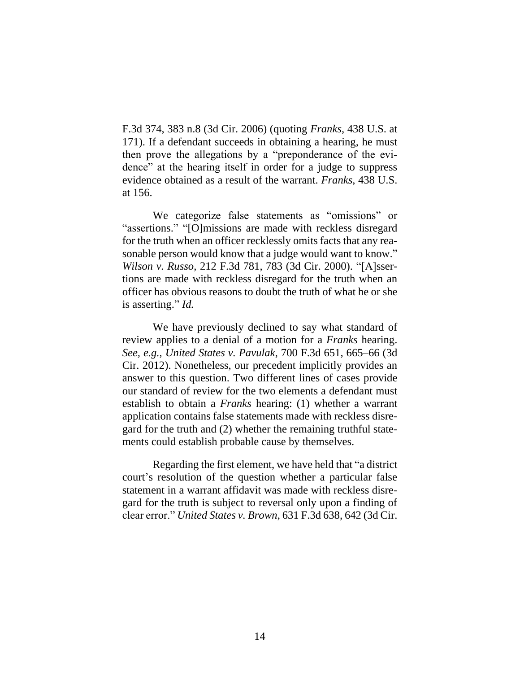F.3d 374, 383 n.8 (3d Cir. 2006) (quoting *Franks*, 438 U.S. at 171). If a defendant succeeds in obtaining a hearing, he must then prove the allegations by a "preponderance of the evidence" at the hearing itself in order for a judge to suppress evidence obtained as a result of the warrant. *Franks*, 438 U.S. at 156.

We categorize false statements as "omissions" or "assertions." "[O]missions are made with reckless disregard for the truth when an officer recklessly omits facts that any reasonable person would know that a judge would want to know." *Wilson v. Russo*, 212 F.3d 781, 783 (3d Cir. 2000). "[A]ssertions are made with reckless disregard for the truth when an officer has obvious reasons to doubt the truth of what he or she is asserting." *Id.*

We have previously declined to say what standard of review applies to a denial of a motion for a *Franks* hearing. *See, e.g.*, *United States v. Pavulak*, 700 F.3d 651, 665–66 (3d Cir. 2012). Nonetheless, our precedent implicitly provides an answer to this question. Two different lines of cases provide our standard of review for the two elements a defendant must establish to obtain a *Franks* hearing: (1) whether a warrant application contains false statements made with reckless disregard for the truth and (2) whether the remaining truthful statements could establish probable cause by themselves.

Regarding the first element, we have held that "a district court's resolution of the question whether a particular false statement in a warrant affidavit was made with reckless disregard for the truth is subject to reversal only upon a finding of clear error." *United States v. Brown*, 631 F.3d 638, 642 (3d Cir.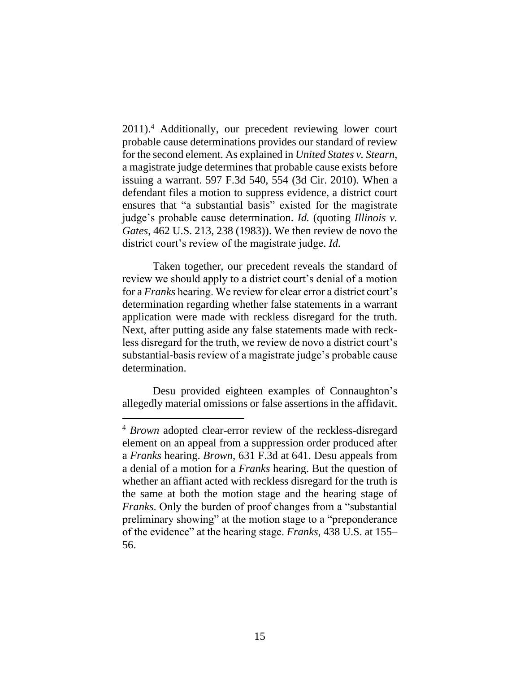2011).<sup>4</sup> Additionally, our precedent reviewing lower court probable cause determinations provides our standard of review for the second element. As explained in *United States v. Stearn*, a magistrate judge determines that probable cause exists before issuing a warrant. 597 F.3d 540, 554 (3d Cir. 2010). When a defendant files a motion to suppress evidence, a district court ensures that "a substantial basis" existed for the magistrate judge's probable cause determination. *Id.* (quoting *Illinois v. Gates*, 462 U.S. 213, 238 (1983)). We then review de novo the district court's review of the magistrate judge. *Id.*

Taken together, our precedent reveals the standard of review we should apply to a district court's denial of a motion for a *Franks* hearing. We review for clear error a district court's determination regarding whether false statements in a warrant application were made with reckless disregard for the truth. Next, after putting aside any false statements made with reckless disregard for the truth, we review de novo a district court's substantial-basis review of a magistrate judge's probable cause determination.

Desu provided eighteen examples of Connaughton's allegedly material omissions or false assertions in the affidavit.

<sup>4</sup> *Brown* adopted clear-error review of the reckless-disregard element on an appeal from a suppression order produced after a *Franks* hearing. *Brown*, 631 F.3d at 641. Desu appeals from a denial of a motion for a *Franks* hearing. But the question of whether an affiant acted with reckless disregard for the truth is the same at both the motion stage and the hearing stage of *Franks*. Only the burden of proof changes from a "substantial preliminary showing" at the motion stage to a "preponderance of the evidence" at the hearing stage. *Franks*, 438 U.S. at 155– 56.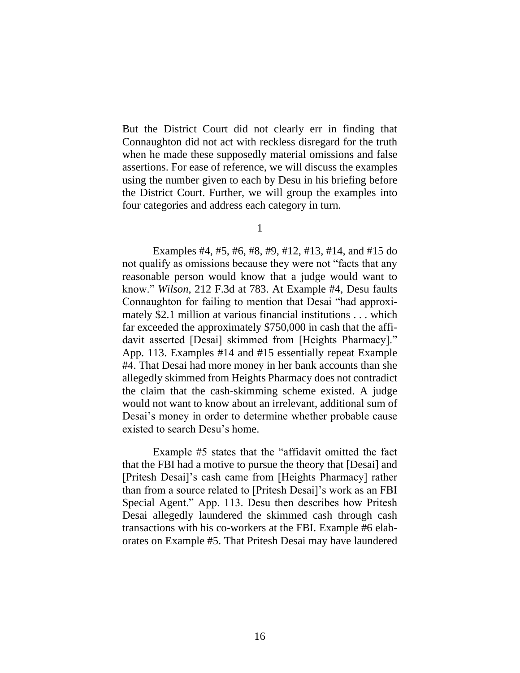But the District Court did not clearly err in finding that Connaughton did not act with reckless disregard for the truth when he made these supposedly material omissions and false assertions. For ease of reference, we will discuss the examples using the number given to each by Desu in his briefing before the District Court. Further, we will group the examples into four categories and address each category in turn.

1

Examples #4, #5, #6, #8, #9, #12, #13, #14, and #15 do not qualify as omissions because they were not "facts that any reasonable person would know that a judge would want to know." *Wilson*, 212 F.3d at 783. At Example #4, Desu faults Connaughton for failing to mention that Desai "had approximately \$2.1 million at various financial institutions . . . which far exceeded the approximately \$750,000 in cash that the affidavit asserted [Desai] skimmed from [Heights Pharmacy]." App. 113. Examples #14 and #15 essentially repeat Example #4. That Desai had more money in her bank accounts than she allegedly skimmed from Heights Pharmacy does not contradict the claim that the cash-skimming scheme existed. A judge would not want to know about an irrelevant, additional sum of Desai's money in order to determine whether probable cause existed to search Desu's home.

Example #5 states that the "affidavit omitted the fact that the FBI had a motive to pursue the theory that [Desai] and [Pritesh Desai]'s cash came from [Heights Pharmacy] rather than from a source related to [Pritesh Desai]'s work as an FBI Special Agent." App. 113. Desu then describes how Pritesh Desai allegedly laundered the skimmed cash through cash transactions with his co-workers at the FBI. Example #6 elaborates on Example #5. That Pritesh Desai may have laundered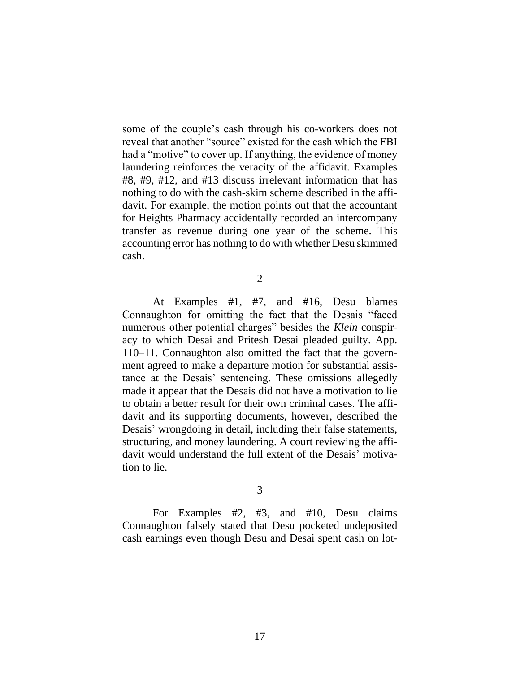some of the couple's cash through his co-workers does not reveal that another "source" existed for the cash which the FBI had a "motive" to cover up. If anything, the evidence of money laundering reinforces the veracity of the affidavit. Examples #8, #9, #12, and #13 discuss irrelevant information that has nothing to do with the cash-skim scheme described in the affidavit. For example, the motion points out that the accountant for Heights Pharmacy accidentally recorded an intercompany transfer as revenue during one year of the scheme. This accounting error has nothing to do with whether Desu skimmed cash.

2

At Examples #1, #7, and #16, Desu blames Connaughton for omitting the fact that the Desais "faced numerous other potential charges" besides the *Klein* conspiracy to which Desai and Pritesh Desai pleaded guilty. App. 110–11. Connaughton also omitted the fact that the government agreed to make a departure motion for substantial assistance at the Desais' sentencing. These omissions allegedly made it appear that the Desais did not have a motivation to lie to obtain a better result for their own criminal cases. The affidavit and its supporting documents, however, described the Desais' wrongdoing in detail, including their false statements, structuring, and money laundering. A court reviewing the affidavit would understand the full extent of the Desais' motivation to lie.

3

For Examples #2, #3, and #10, Desu claims Connaughton falsely stated that Desu pocketed undeposited cash earnings even though Desu and Desai spent cash on lot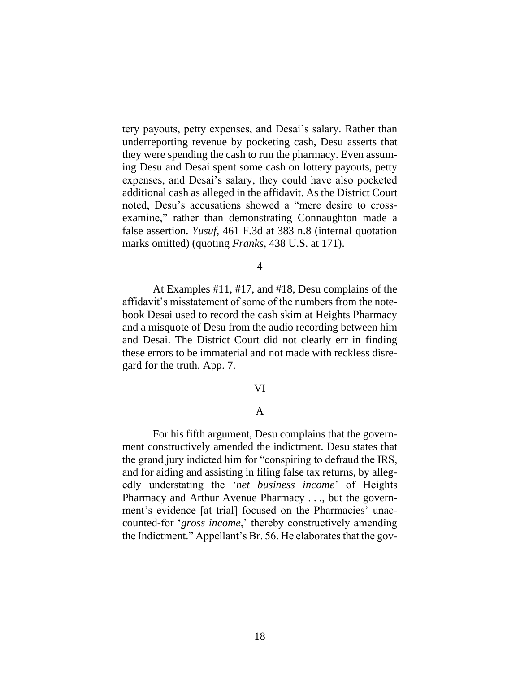tery payouts, petty expenses, and Desai's salary. Rather than underreporting revenue by pocketing cash, Desu asserts that they were spending the cash to run the pharmacy. Even assuming Desu and Desai spent some cash on lottery payouts, petty expenses, and Desai's salary, they could have also pocketed additional cash as alleged in the affidavit. As the District Court noted, Desu's accusations showed a "mere desire to crossexamine," rather than demonstrating Connaughton made a false assertion. *Yusuf*, 461 F.3d at 383 n.8 (internal quotation marks omitted) (quoting *Franks*, 438 U.S. at 171).

4

At Examples #11, #17, and #18, Desu complains of the affidavit's misstatement of some of the numbers from the notebook Desai used to record the cash skim at Heights Pharmacy and a misquote of Desu from the audio recording between him and Desai. The District Court did not clearly err in finding these errors to be immaterial and not made with reckless disregard for the truth. App. 7.

#### VI

#### A

For his fifth argument, Desu complains that the government constructively amended the indictment. Desu states that the grand jury indicted him for "conspiring to defraud the IRS, and for aiding and assisting in filing false tax returns, by allegedly understating the '*net business income*' of Heights Pharmacy and Arthur Avenue Pharmacy . . ., but the government's evidence [at trial] focused on the Pharmacies' unaccounted-for '*gross income*,' thereby constructively amending the Indictment." Appellant's Br. 56. He elaborates that the gov-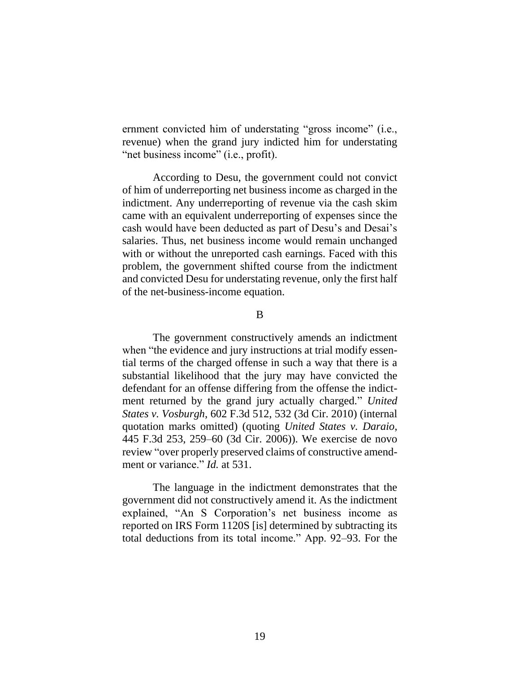ernment convicted him of understating "gross income" (i.e., revenue) when the grand jury indicted him for understating "net business income" (i.e., profit).

According to Desu, the government could not convict of him of underreporting net business income as charged in the indictment. Any underreporting of revenue via the cash skim came with an equivalent underreporting of expenses since the cash would have been deducted as part of Desu's and Desai's salaries. Thus, net business income would remain unchanged with or without the unreported cash earnings. Faced with this problem, the government shifted course from the indictment and convicted Desu for understating revenue, only the first half of the net-business-income equation.

B

The government constructively amends an indictment when "the evidence and jury instructions at trial modify essential terms of the charged offense in such a way that there is a substantial likelihood that the jury may have convicted the defendant for an offense differing from the offense the indictment returned by the grand jury actually charged." *United States v. Vosburgh*, 602 F.3d 512, 532 (3d Cir. 2010) (internal quotation marks omitted) (quoting *United States v. Daraio*, 445 F.3d 253, 259–60 (3d Cir. 2006)). We exercise de novo review "over properly preserved claims of constructive amendment or variance." *Id.* at 531.

The language in the indictment demonstrates that the government did not constructively amend it. As the indictment explained, "An S Corporation's net business income as reported on IRS Form 1120S [is] determined by subtracting its total deductions from its total income." App. 92–93. For the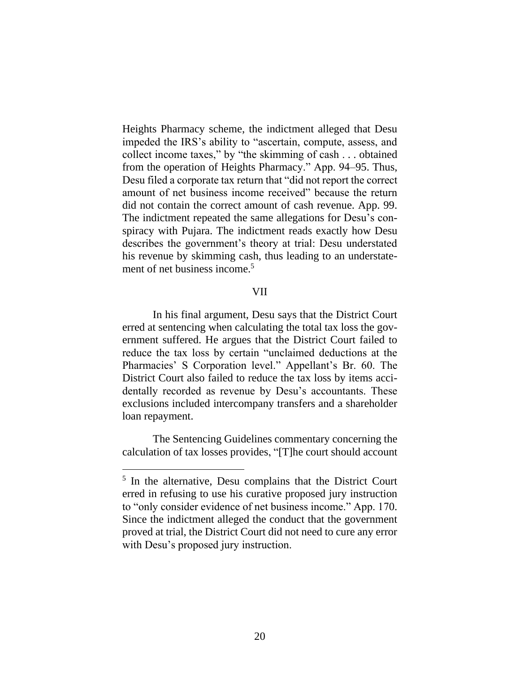Heights Pharmacy scheme, the indictment alleged that Desu impeded the IRS's ability to "ascertain, compute, assess, and collect income taxes," by "the skimming of cash . . . obtained from the operation of Heights Pharmacy." App. 94–95. Thus, Desu filed a corporate tax return that "did not report the correct amount of net business income received" because the return did not contain the correct amount of cash revenue. App. 99. The indictment repeated the same allegations for Desu's conspiracy with Pujara. The indictment reads exactly how Desu describes the government's theory at trial: Desu understated his revenue by skimming cash, thus leading to an understatement of net business income.<sup>5</sup>

#### VII

In his final argument, Desu says that the District Court erred at sentencing when calculating the total tax loss the government suffered. He argues that the District Court failed to reduce the tax loss by certain "unclaimed deductions at the Pharmacies' S Corporation level." Appellant's Br. 60. The District Court also failed to reduce the tax loss by items accidentally recorded as revenue by Desu's accountants. These exclusions included intercompany transfers and a shareholder loan repayment.

The Sentencing Guidelines commentary concerning the calculation of tax losses provides, "[T]he court should account

<sup>&</sup>lt;sup>5</sup> In the alternative, Desu complains that the District Court erred in refusing to use his curative proposed jury instruction to "only consider evidence of net business income." App. 170. Since the indictment alleged the conduct that the government proved at trial, the District Court did not need to cure any error with Desu's proposed jury instruction.